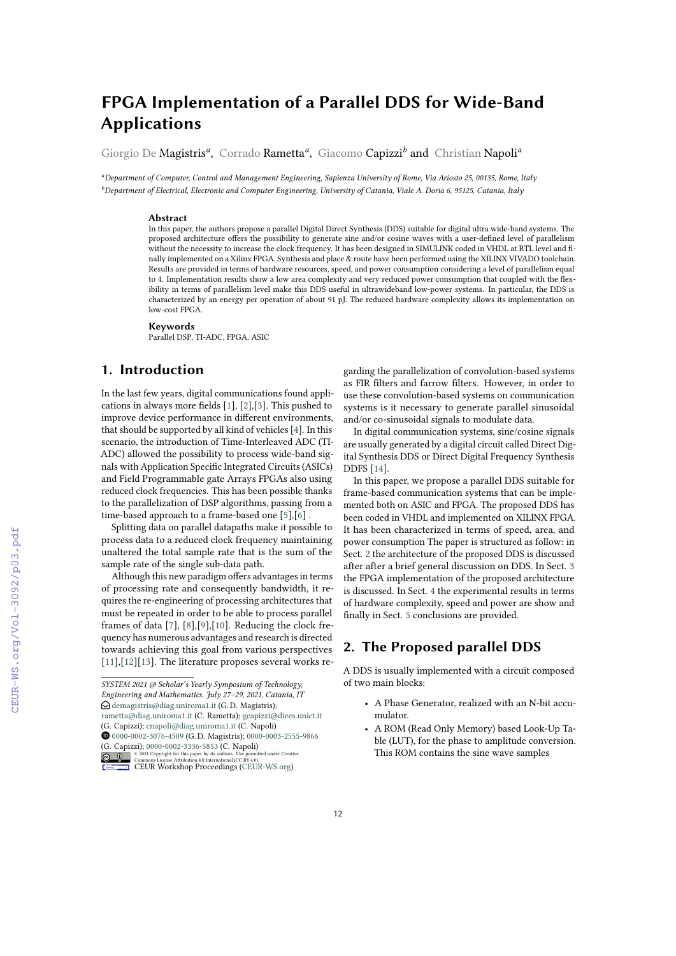# **FPGA Implementation of a Parallel DDS for Wide-Band Applications**

Giorgio De Magistris*<sup>a</sup>* , Corrado Rametta*<sup>a</sup>* , Giacomo Capizzi*<sup>b</sup>* and Christian Napoli*<sup>a</sup>*

*<sup>a</sup>Department of Computer, Control and Management Engineering, Sapienza University of Rome, Via Ariosto 25, 00135, Rome, Italy <sup>b</sup>Department of Electrical, Electronic and Computer Engineering, University of Catania, Viale A. Doria 6, 95125, Catania, Italy*

#### **Abstract**

In this paper, the authors propose a parallel Digital Direct Synthesis (DDS) suitable for digital ultra wide-band systems. The proposed architecture offers the possibility to generate sine and/or cosine waves with a user-defined level of parallelism without the necessity to increase the clock frequency. It has been designed in SIMULINK coded in VHDL at RTL level and finally implemented on a Xilinx FPGA. Synthesis and place & route have been performed using the XILINX VIVADO toolchain. Results are provided in terms of hardware resources, speed, and power consumption considering a level of parallelism equal to 4. Implementation results show a low area complexity and very reduced power consumption that coupled with the flexibility in terms of parallelism level make this DDS useful in ultrawideband low-power systems. In particular, the DDS is characterized by an energy per operation of about 91 pJ. The reduced hardware complexity allows its implementation on low-cost FPGA.

#### **Keywords**

Parallel DSP, TI-ADC, FPGA, ASIC

# **1. Introduction**

In the last few years, digital communications found applications in always more fields [\[1\]](#page--1-0), [\[2\]](#page--1-1),[\[3\]](#page--1-2). This pushed to improve device performance in different environments, that should be supported by all kind of vehicles [\[4\]](#page--1-3). In this scenario, the introduction of Time-Interleaved ADC (TI-ADC) allowed the possibility to process wide-band signals with Application Specific Integrated Circuits (ASICs) and Field Programmable gate Arrays FPGAs also using reduced clock frequencies. This has been possible thanks to the parallelization of DSP algorithms, passing from a time-based approach to a frame-based one [\[5\]](#page--1-4),[\[6\]](#page--1-5) .

Splitting data on parallel datapaths make it possible to process data to a reduced clock frequency maintaining unaltered the total sample rate that is the sum of the sample rate of the single sub-data path.

Although this new paradigm offers advantages in terms of processing rate and consequently bandwidth, it requires the re-engineering of processing architectures that must be repeated in order to be able to process parallel frames of data [\[7\]](#page--1-6), [\[8\]](#page--1-7),[\[9\]](#page--1-8),[\[10\]](#page--1-9). Reducing the clock frequency has numerous advantages and research is directed towards achieving this goal from various perspectives [\[11\]](#page--1-10),[\[12\]](#page--1-11)[\[13\]](#page--1-12). The literature proposes several works regarding the parallelization of convolution-based systems as FIR filters and farrow filters. However, in order to use these convolution-based systems on communication systems is it necessary to generate parallel sinusoidal and/or co-sinusoidal signals to modulate data.

In digital communication systems, sine/cosine signals are usually generated by a digital circuit called Direct Digital Synthesis DDS or Direct Digital Frequency Synthesis DDFS [\[14\]](#page--1-13).

In this paper, we propose a parallel DDS suitable for frame-based communication systems that can be implemented both on ASIC and FPGA. The proposed DDS has been coded in VHDL and implemented on XILINX FPGA. It has been characterized in terms of speed, area, and power consumption The paper is structured as follow: in Sect. [2](#page-0-0) the architecture of the proposed DDS is discussed after after a brief general discussion on DDS. In Sect. [3](#page--1-14) the FPGA implementation of the proposed architecture is discussed. In Sect. [4](#page--1-15) the experimental results in terms of hardware complexity, speed and power are show and finally in Sect. [5](#page--1-16) conclusions are provided.

## <span id="page-0-0"></span>**2. The Proposed parallel DDS**

A DDS is usually implemented with a circuit composed of two main blocks:

- A Phase Generator, realized with an N-bit accumulator.
- A ROM (Read Only Memory) based Look-Up Table (LUT), for the phase to amplitude conversion. This ROM contains the sine wave samples

*SYSTEM 2021 @ Scholar's Yearly Symposium of Technology, Engineering and Mathematics. July 27–29, 2021, Catania, IT*  $\bigcirc$  [demagistris@diag.uniroma1.it](mailto:demagistris@diag.uniroma1.it) (G.D. Magistris); [rametta@diag.uniroma1.it](mailto:rametta@diag.uniroma1.it) (C. Rametta); [gcapizzi@diees.unict.it](mailto:gcapizzi@diees.unict.it) (G. Capizzi); [cnapoli@diag.uniroma1.it](mailto:cnapoli@diag.uniroma1.it) (C. Napoli) [0000-0002-3076-4509](https://orcid.org/0000-0002-3076-4509) (G. D. Magistris); [0000-0003-2555-9866](https://orcid.org/0000-0003-2555-9866) (G. Capizzi); [0000-0002-3336-5853](https://orcid.org/0000-0002-3336-5853) (C. Napoli)<br>  $\bigcirc$  2021 Copyright for this paper by its authors. Use permit<br>  $\bigcirc$  0  $\bigcirc$  commons License Attribution 4.0 International (CC BY 4.0). **D** 2 2021 Commons License Attribution 4.0 line number of the surface permitted under Creative Commons License Attribution 4.0 International (CC BY 4.0).<br> [CEUR](https://creativecommons.org/licenses/by/4.0) Workshop [Proceedings](http://ceur-ws.org) [\(CEUR-WS.org\)](http://ceur-ws.org)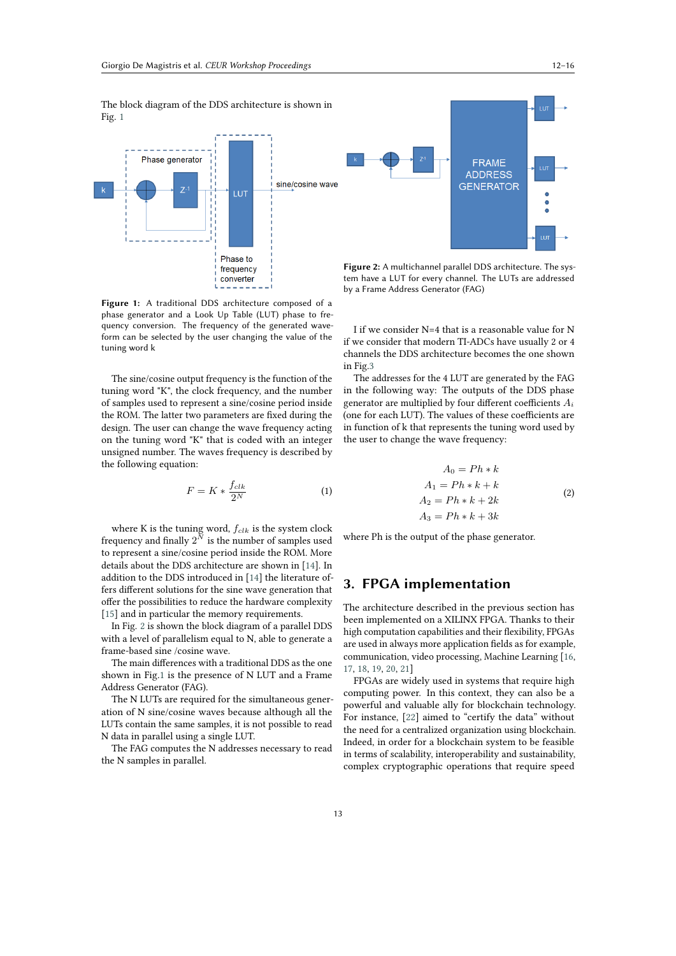The block diagram of the DDS architecture is shown in Fig. [1](#page-1-0)



<span id="page-1-1"></span>**Figure 2:** A multichannel parallel DDS architecture. The system have a LUT for every channel. The LUTs are addressed by a Frame Address Generator (FAG)

**FRAME ADDRESS** 

**GENERATOR** 

<span id="page-1-0"></span>**Figure 1:** A traditional DDS architecture composed of a phase generator and a Look Up Table (LUT) phase to frequency conversion. The frequency of the generated waveform can be selected by the user changing the value of the tuning word k

The sine/cosine output frequency is the function of the tuning word "K", the clock frequency, and the number of samples used to represent a sine/cosine period inside the ROM. The latter two parameters are fixed during the design. The user can change the wave frequency acting on the tuning word "K" that is coded with an integer unsigned number. The waves frequency is described by the following equation:

$$
F = K * \frac{f_{clk}}{2^N} \tag{1}
$$

where K is the tuning word,  $f_{clk}$  is the system clock frequency and finally  $2^{\bar{N}}$  is the number of samples used to represent a sine/cosine period inside the ROM. More details about the DDS architecture are shown in [\[14\]](#page-4-0). In addition to the DDS introduced in [\[14\]](#page-4-0) the literature offers different solutions for the sine wave generation that offer the possibilities to reduce the hardware complexity [\[15\]](#page-4-1) and in particular the memory requirements.

In Fig. [2](#page-1-1) is shown the block diagram of a parallel DDS with a level of parallelism equal to N, able to generate a frame-based sine /cosine wave.

The main differences with a traditional DDS as the one shown in Fig[.1](#page-1-0) is the presence of N LUT and a Frame Address Generator (FAG).

The N LUTs are required for the simultaneous generation of N sine/cosine waves because although all the LUTs contain the same samples, it is not possible to read N data in parallel using a single LUT.

The FAG computes the N addresses necessary to read the N samples in parallel.

I if we consider N=4 that is a reasonable value for N if we consider that modern TI-ADCs have usually 2 or 4 channels the DDS architecture becomes the one shown in Fig[.3](#page-2-0)

The addresses for the 4 LUT are generated by the FAG in the following way: The outputs of the DDS phase generator are multiplied by four different coefficients  $A_i$ (one for each LUT). The values of these coefficients are in function of k that represents the tuning word used by the user to change the wave frequency:

$$
A_0 = Ph * k
$$
  
\n
$$
A_1 = Ph * k + k
$$
  
\n
$$
A_2 = Ph * k + 2k
$$
  
\n
$$
A_3 = Ph * k + 3k
$$
\n(2)

where Ph is the output of the phase generator.

### **3. FPGA implementation**

The architecture described in the previous section has been implemented on a XILINX FPGA. Thanks to their high computation capabilities and their flexibility, FPGAs are used in always more application fields as for example, communication, video processing, Machine Learning [\[16,](#page-4-2) [17,](#page-4-3) [18,](#page-4-4) [19,](#page-4-5) [20,](#page-4-6) [21\]](#page-4-7)

FPGAs are widely used in systems that require high computing power. In this context, they can also be a powerful and valuable ally for blockchain technology. For instance, [\[22\]](#page-4-8) aimed to "certify the data" without the need for a centralized organization using blockchain. Indeed, in order for a blockchain system to be feasible in terms of scalability, interoperability and sustainability, complex cryptographic operations that require speed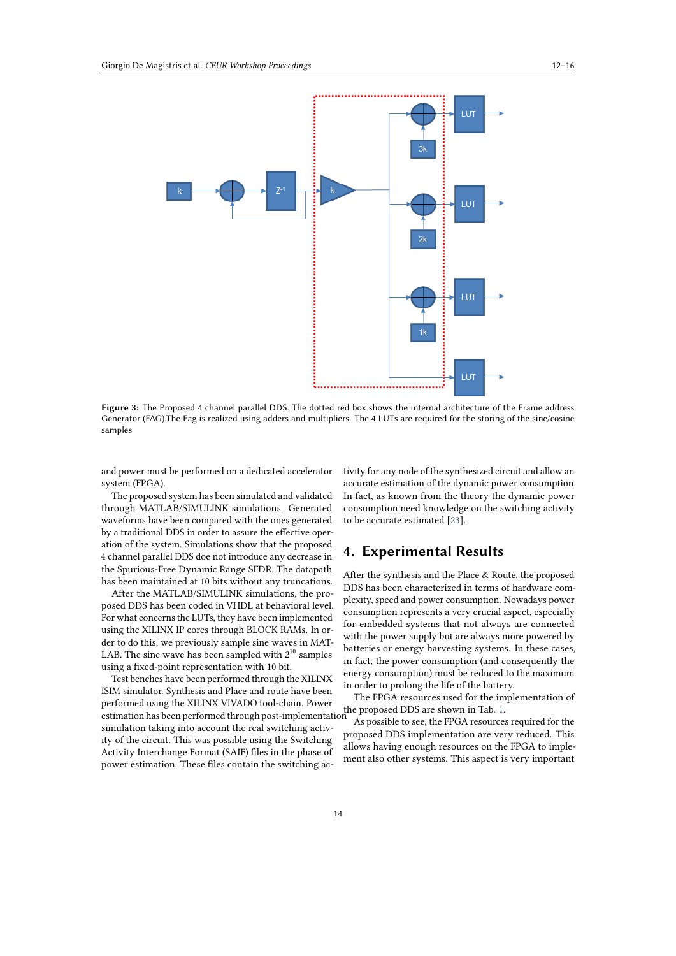

<span id="page-2-0"></span>**Figure 3:** The Proposed 4 channel parallel DDS. The dotted red box shows the internal architecture of the Frame address Generator (FAG).The Fag is realized using adders and multipliers. The 4 LUTs are required for the storing of the sine/cosine samples

and power must be performed on a dedicated accelerator system (FPGA).

The proposed system has been simulated and validated through MATLAB/SIMULINK simulations. Generated waveforms have been compared with the ones generated by a traditional DDS in order to assure the effective operation of the system. Simulations show that the proposed 4 channel parallel DDS doe not introduce any decrease in the Spurious-Free Dynamic Range SFDR. The datapath has been maintained at 10 bits without any truncations.

After the MATLAB/SIMULINK simulations, the proposed DDS has been coded in VHDL at behavioral level. For what concerns the LUTs, they have been implemented using the XILINX IP cores through BLOCK RAMs. In order to do this, we previously sample sine waves in MAT-LAB. The sine wave has been sampled with  $2^{10}$  samples using a fixed-point representation with 10 bit.

Test benches have been performed through the XILINX ISIM simulator. Synthesis and Place and route have been performed using the XILINX VIVADO tool-chain. Power estimation has been performed through post-implementation<br>estimation has been performed through post-implementation simulation taking into account the real switching activity of the circuit. This was possible using the Switching Activity Interchange Format (SAIF) files in the phase of power estimation. These files contain the switching ac-

tivity for any node of the synthesized circuit and allow an accurate estimation of the dynamic power consumption. In fact, as known from the theory the dynamic power consumption need knowledge on the switching activity to be accurate estimated [\[23\]](#page-4-9).

### **4. Experimental Results**

After the synthesis and the Place & Route, the proposed DDS has been characterized in terms of hardware complexity, speed and power consumption. Nowadays power consumption represents a very crucial aspect, especially for embedded systems that not always are connected with the power supply but are always more powered by batteries or energy harvesting systems. In these cases, in fact, the power consumption (and consequently the energy consumption) must be reduced to the maximum in order to prolong the life of the battery.

The FPGA resources used for the implementation of

As possible to see, the FPGA resources required for the proposed DDS implementation are very reduced. This allows having enough resources on the FPGA to implement also other systems. This aspect is very important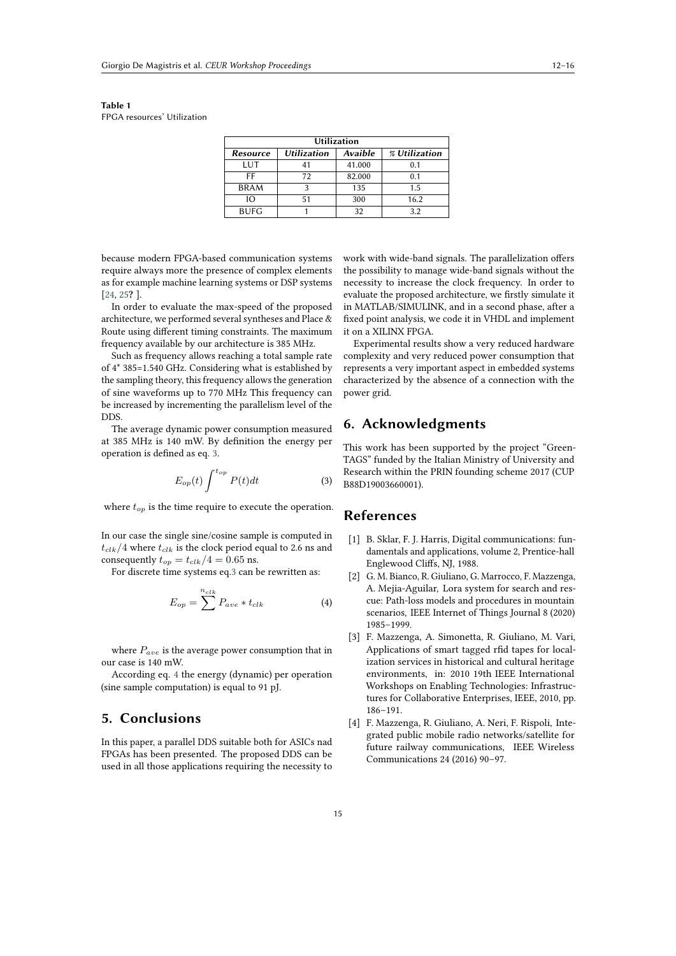<span id="page-3-0"></span>**Table 1** FPGA resources' Utilization

| <b>Utilization</b> |                    |         |               |
|--------------------|--------------------|---------|---------------|
| <b>Resource</b>    | <b>Utilization</b> | Avaible | % Utilization |
| LUT                | 41                 | 41.000  | 0.1           |
| FF                 | 72                 | 82.000  | 0.1           |
| <b>BRAM</b>        | 3                  | 135     | 1.5           |
| IΟ                 | 51                 | 300     | 16.2          |
| <b>BUFG</b>        |                    | 32      | 3.2           |

because modern FPGA-based communication systems require always more the presence of complex elements as for example machine learning systems or DSP systems [\[24,](#page-4-10) [25](#page-4-11)**?** ].

In order to evaluate the max-speed of the proposed architecture, we performed several syntheses and Place & Route using different timing constraints. The maximum frequency available by our architecture is 385 MHz.

Such as frequency allows reaching a total sample rate of 4\* 385=1.540 GHz. Considering what is established by the sampling theory, this frequency allows the generation of sine waveforms up to 770 MHz This frequency can be increased by incrementing the parallelism level of the DDS.

The average dynamic power consumption measured at 385 MHz is 140 mW. By definition the energy per operation is defined as eq. [3.](#page-3-1)

$$
E_{op}(t)\int^{t_{op}} P(t)dt\tag{3}
$$

where  $t_{op}$  is the time require to execute the operation.

In our case the single sine/cosine sample is computed in  $t_{clk}/4$  where  $t_{clk}$  is the clock period equal to 2.6 ns and consequently  $t_{op} = t_{clk}/4 = 0.65$  ns.

For discrete time systems eq[.3](#page-3-1) can be rewritten as:

$$
E_{op} = \sum^{n_{clk}} P_{ave} * t_{clk}
$$
 (4)

where  $P_{ave}$  is the average power consumption that in our case is 140 mW.

According eq. [4](#page-3-2) the energy (dynamic) per operation (sine sample computation) is equal to 91 pJ.

# **5. Conclusions**

In this paper, a parallel DDS suitable both for ASICs nad FPGAs has been presented. The proposed DDS can be used in all those applications requiring the necessity to work with wide-band signals. The parallelization offers the possibility to manage wide-band signals without the necessity to increase the clock frequency. In order to evaluate the proposed architecture, we firstly simulate it in MATLAB/SIMULINK, and in a second phase, after a fixed point analysis, we code it in VHDL and implement it on a XILINX FPGA.

Experimental results show a very reduced hardware complexity and very reduced power consumption that represents a very important aspect in embedded systems characterized by the absence of a connection with the power grid.

### **6. Acknowledgments**

<span id="page-3-1"></span>This work has been supported by the project "Green-TAGS" funded by the Italian Ministry of University and Research within the PRIN founding scheme 2017 (CUP B88D19003660001).

#### **References**

- [1] B. Sklar, F. J. Harris, Digital communications: fundamentals and applications, volume 2, Prentice-hall Englewood Cliffs, NJ, 1988.
- <span id="page-3-2"></span>[2] G. M. Bianco, R. Giuliano, G. Marrocco, F. Mazzenga, A. Mejia-Aguilar, Lora system for search and rescue: Path-loss models and procedures in mountain scenarios, IEEE Internet of Things Journal 8 (2020) 1985–1999.
- [3] F. Mazzenga, A. Simonetta, R. Giuliano, M. Vari, Applications of smart tagged rfid tapes for localization services in historical and cultural heritage environments, in: 2010 19th IEEE International Workshops on Enabling Technologies: Infrastructures for Collaborative Enterprises, IEEE, 2010, pp. 186–191.
- [4] F. Mazzenga, R. Giuliano, A. Neri, F. Rispoli, Integrated public mobile radio networks/satellite for future railway communications, IEEE Wireless Communications 24 (2016) 90–97.